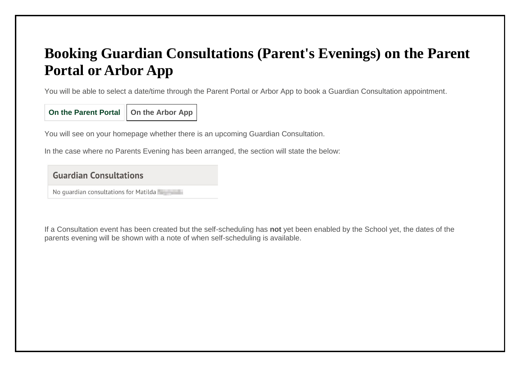# **Booking Guardian Consultations (Parent's Evenings) on the Parent Portal or Arbor App**

You will be able to select a date/time through the Parent Portal or Arbor App to book a Guardian Consultation appointment.

**On the Parent Portal On the Arbor App**

You will see on your homepage whether there is an upcoming Guardian Consultation.

In the case where no Parents Evening has been arranged, the section will state the below:

**Guardian Consultations** 

No guardian consultations for Matilda

If a Consultation event has been created but the self-scheduling has **not** yet been enabled by the School yet, the dates of the parents evening will be shown with a note of when self-scheduling is available.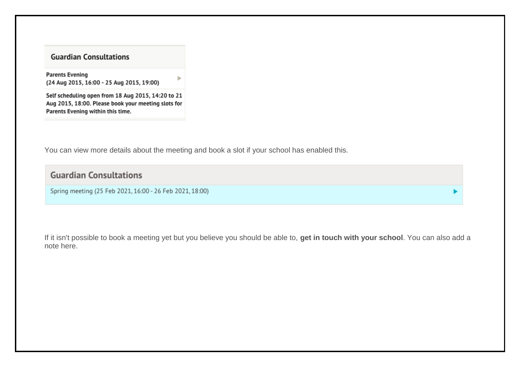#### **Guardian Consultations**

**Parents Evening** (24 Aug 2015, 16:00 - 25 Aug 2015, 19:00)

Self scheduling open from 18 Aug 2015, 14:20 to 21 Aug 2015, 18:00. Please book your meeting slots for Parents Evening within this time.

You can view more details about the meeting and book a slot if your school has enabled this.

ь

### **Guardian Consultations**

Spring meeting (25 Feb 2021, 16:00 - 26 Feb 2021, 18:00)

If it isn't possible to book a meeting yet but you believe you should be able to, **get in touch with your school**. You can also add a note here.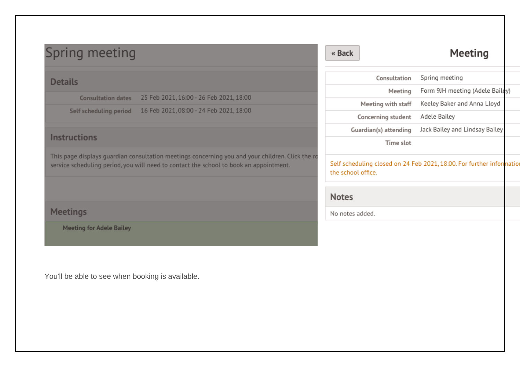| Spring meeting                                                                                                                                                                             | « Back                | <b>Meeting</b>                                                       |
|--------------------------------------------------------------------------------------------------------------------------------------------------------------------------------------------|-----------------------|----------------------------------------------------------------------|
| <b>Details</b>                                                                                                                                                                             | Consultation          | Spring meeting                                                       |
| 25 Feb 2021, 16:00 - 26 Feb 2021, 18:00                                                                                                                                                    | Meeting               | Form 9JH meeting (Adele Bailey)                                      |
| <b>Consultation dates</b>                                                                                                                                                                  | Meeting with staff    | Keeley Baker and Anna Lloyd                                          |
| 16 Feb 2021, 08:00 - 24 Feb 2021, 18:00<br>Self scheduling period                                                                                                                          | Concerning student    | Adele Bailey                                                         |
|                                                                                                                                                                                            | Guardian(s) attending | Jack Bailey and Lindsay Bailey                                       |
| <b>Instructions</b>                                                                                                                                                                        | Time slot             |                                                                      |
| This page displays guardian consultation meetings concerning you and your children. Click the ro<br>service scheduling period, you will need to contact the school to book an appointment. | the school office.    | Self scheduling closed on 24 Feb 2021, 18:00. For further informatio |
|                                                                                                                                                                                            | <b>Notes</b>          |                                                                      |
| <b>Meetings</b>                                                                                                                                                                            | No notes added.       |                                                                      |
| <b>Meeting for Adele Bailey</b>                                                                                                                                                            |                       |                                                                      |
| You'll be able to see when booking is available.                                                                                                                                           |                       |                                                                      |
|                                                                                                                                                                                            |                       |                                                                      |
|                                                                                                                                                                                            |                       |                                                                      |
|                                                                                                                                                                                            |                       |                                                                      |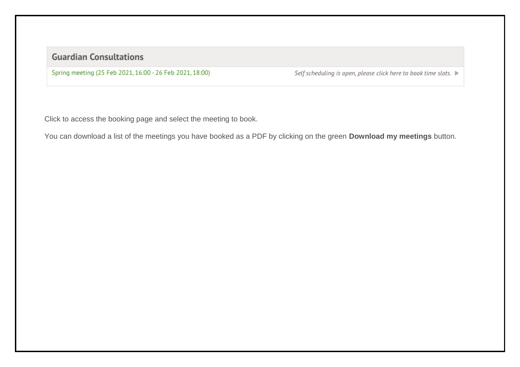### **Guardian Consultations**

Spring meeting (25 Feb 2021, 16:00 - 26 Feb 2021, 18:00)

Self scheduling is open, please click here to book time slots. ▶

Click to access the booking page and select the meeting to book.

You can download a list of the meetings you have booked as a PDF by clicking on the green **Download my meetings** button.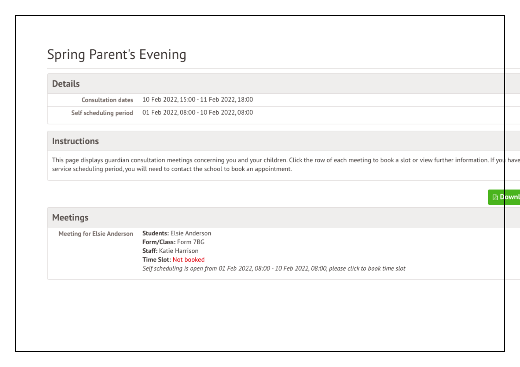## **Spring Parent's Evening**

#### **Details**

**Consultation dates** 10 Feb 2022, 15:00 - 11 Feb 2022, 18:00

Self scheduling period 01 Feb 2022, 08:00 - 10 Feb 2022, 08:00

#### Instructions

This page displays guardian consultation meetings concerning you and your children. Click the row of each meeting to book a slot or view further information. If you have service scheduling period, you will need to contact the school to book an appointment.

**A** Downl

#### Meetings

| <b>Staff:</b> Katie Harrison<br>Time Slot: Not booked                                                |  |
|------------------------------------------------------------------------------------------------------|--|
| Self scheduling is open from 01 Feb 2022, 08:00 - 10 Feb 2022, 08:00, please click to book time slot |  |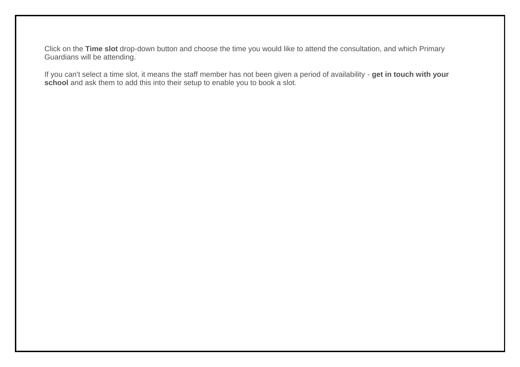Click on the **Time slot** drop-down button and choose the time you would like to attend the consultation, and which Primary Guardians will be attending.

If you can't select a time slot, it means the staff member has not been given a period of availability - **get in touch with your school** and ask them to add this into their setup to enable you to book a slot.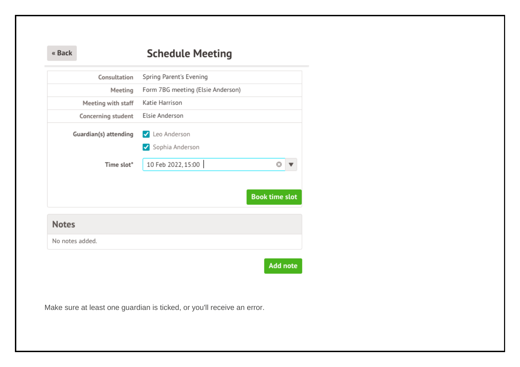#### **Schedule Meeting** « Back

| Consultation          | Spring Parent's Evening           |                       |
|-----------------------|-----------------------------------|-----------------------|
| Meeting               | Form 7BG meeting (Elsie Anderson) |                       |
| Meeting with staff    | Katie Harrison                    |                       |
| Concerning student    | Elsie Anderson                    |                       |
| Guardian(s) attending | Leo Anderson<br>Sophia Anderson   |                       |
| Time slot*            | 10 Feb 2022, 15:00                |                       |
|                       |                                   | <b>Book time slot</b> |
| <b>Notes</b>          |                                   |                       |
| No notes added.       |                                   |                       |
|                       |                                   |                       |
|                       |                                   | <b>Add note</b>       |

Make sure at least one guardian is ticked, or you'll receive an error.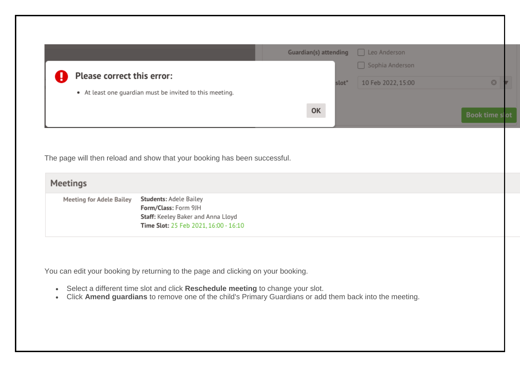| Please correct this error:      | • At least one guardian must be invited to this meeting.                  | slot <sup>*</sup> | Sophia Anderson<br>10 Feb 2022, 15:00 | O                     |
|---------------------------------|---------------------------------------------------------------------------|-------------------|---------------------------------------|-----------------------|
|                                 |                                                                           | OK                |                                       | <b>Book time slot</b> |
|                                 |                                                                           |                   |                                       |                       |
|                                 |                                                                           |                   |                                       |                       |
|                                 | The page will then reload and show that your booking has been successful. |                   |                                       |                       |
| <b>Meetings</b>                 |                                                                           |                   |                                       |                       |
| <b>Meeting for Adele Bailey</b> | <b>Students: Adele Bailey</b>                                             |                   |                                       |                       |
|                                 | Form/Class: Form 9JH<br>Staff: Keeley Baker and Anna Lloyd                |                   |                                       |                       |
|                                 | Time Slot: 25 Feb 2021, 16:00 - 16:10                                     |                   |                                       |                       |
|                                 |                                                                           |                   |                                       |                       |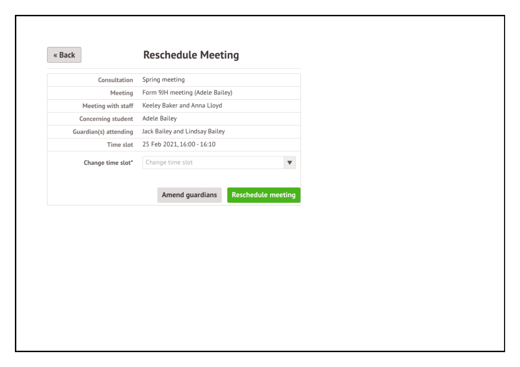#### « Back

## **Reschedule Meeting**

| Consultation          | Spring meeting                  |                           |
|-----------------------|---------------------------------|---------------------------|
| Meeting               | Form 9JH meeting (Adele Bailey) |                           |
| Meeting with staff    | Keeley Baker and Anna Lloyd     |                           |
| Concerning student    | Adele Bailey                    |                           |
| Guardian(s) attending | Jack Bailey and Lindsay Bailey  |                           |
| Time slot             | 25 Feb 2021, 16:00 - 16:10      |                           |
| Change time slot*     | Change time slot                |                           |
|                       | Amend guardians                 | <b>Reschedule meeting</b> |
|                       |                                 |                           |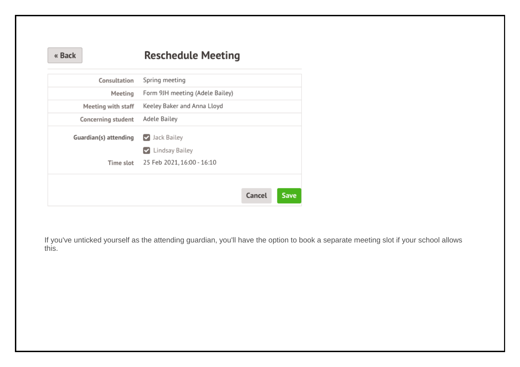| « Back |  |
|--------|--|
|--------|--|

## **Reschedule Meeting**

| Consultation          | Spring meeting                               |
|-----------------------|----------------------------------------------|
| Meeting               | Form 9JH meeting (Adele Bailey)              |
| Meeting with staff    | Keeley Baker and Anna Lloyd                  |
| Concerning student    | Adele Bailey                                 |
| Guardian(s) attending | ✔ Jack Bailey                                |
| Time slot             | Lindsay Bailey<br>25 Feb 2021, 16:00 - 16:10 |
|                       |                                              |
|                       | Cancel<br><b>Save</b>                        |

If you've unticked yourself as the attending guardian, you'll have the option to book a separate meeting slot if your school allows this.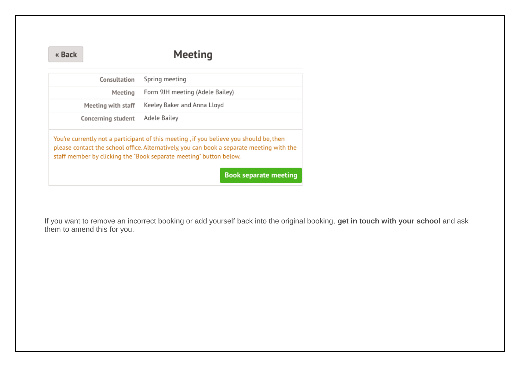« Back

## Meeting

| Consultation       | Spring meeting                                                                                                                                                                                                                                                                            |
|--------------------|-------------------------------------------------------------------------------------------------------------------------------------------------------------------------------------------------------------------------------------------------------------------------------------------|
| Meeting            | Form 9JH meeting (Adele Bailey)                                                                                                                                                                                                                                                           |
| Meeting with staff | Keeley Baker and Anna Lloyd                                                                                                                                                                                                                                                               |
| Concerning student | Adele Bailey                                                                                                                                                                                                                                                                              |
|                    | You're currently not a participant of this meeting, if you believe you should be, then<br>please contact the school office. Alternatively, you can book a separate meeting with the<br>staff member by clicking the "Book separate meeting" button below.<br><b>Book separate meeting</b> |

If you want to remove an incorrect booking or add yourself back into the original booking, **get in touch with your school** and ask them to amend this for you.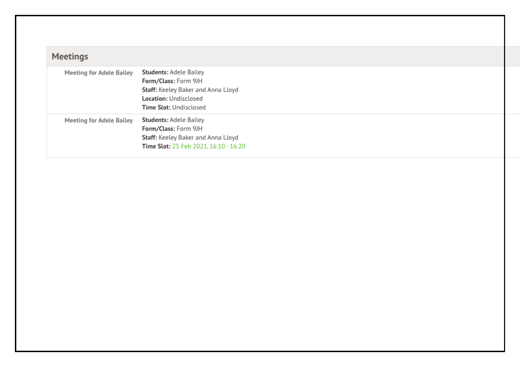| <b>Meetings</b>                 |                                                                                                                                                       |
|---------------------------------|-------------------------------------------------------------------------------------------------------------------------------------------------------|
| <b>Meeting for Adele Bailey</b> | <b>Students: Adele Bailey</b><br>Form/Class: Form 9JH<br>Staff: Keeley Baker and Anna Lloyd<br>Location: Undisclosed<br><b>Time Slot: Undisclosed</b> |
| <b>Meeting for Adele Bailey</b> | <b>Students: Adele Bailey</b><br>Form/Class: Form 9JH<br>Staff: Keeley Baker and Anna Lloyd<br>Time Slot: 25 Feb 2021, 16:10 - 16:20                  |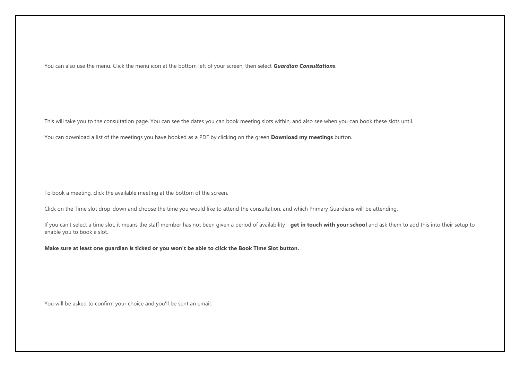You can also use the menu. Click the menu icon at the bottom left of your screen, then select *Guardian Consultations*.

This will take you to the consultation page. You can see the dates you can book meeting slots within, and also see when you can book these slots until.

You can download a list of the meetings you have booked as a PDF by clicking on the green **Download my meetings** button.

To book a meeting, click the available meeting at the bottom of the screen.

Click on the Time slot drop-down and choose the time you would like to attend the consultation, and which Primary Guardians will be attending.

If you can't select a time slot, it means the staff member has not been given a period of availability - **get in touch with your school** and ask them to add this into their setup to enable you to book a slot.

**Make sure at least one guardian is ticked or you won't be able to click the Book Time Slot button.**

You will be asked to confirm your choice and you'll be sent an email.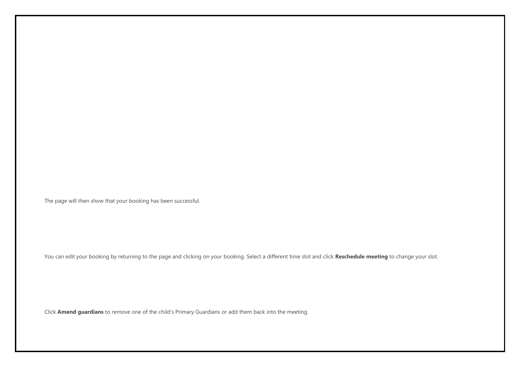The page will then show that your booking has been successful.

You can edit your booking by returning to the page and clicking on your booking. Select a different time slot and click **Reschedule meeting** to change your slot.

Click **Amend guardians** to remove one of the child's Primary Guardians or add them back into the meeting.